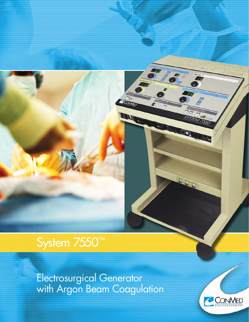# System 7550™

Electrosurgical Generator with Argon Beam Coagulation



15

 $\sqrt{2}$ P

COMMED

**ILI**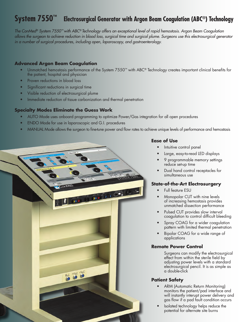## **System 7550™ Electrosurgical Generator with Argon Beam Coagulation (ABC®) Technology**

*The ConMed® System 7550™ with ABC® Technology offers an exceptional level of rapid hemostasis. Argon Beam Coagulation allows the surgeon to achieve reduction in blood loss, surgical time and surgical plume. Surgeons use this electrosurgical generator in a number of surgical procedures, including open, laparoscopy, and gastroenterology.*

#### **Advanced Argon Beam Coagulation**

- Unmatched hemostasis performance of the System 7550™ with ABC® Technology creates important clinical benefits for the patient, hospital and physician
- Proven reductions in blood loss
- Significant reductions in surgical time
- Visible reduction of electrosurgical plume
- Immediate reduction of tissue carbonization and thermal penetration

#### **Specialty Modes Eliminate the Guess Work**

- AUTO Mode uses onboard programming to optimize Power/Gas integration for all open procedures
- ENDO Mode for use in laparoscopic and G.I. procedures
- • MANUAL Mode allows the surgeon to fine-tune power and flow rates to achieve unique levels of performance and hemostasis



#### **Ease of Use**

- Intuitive control panel
- Large, easy-to-read LED displays
- 9 programmable memory settings reduce set-up time
- Dual hand control receptacles for simultaneous use

#### **State-of-the-Art Electrosurgery**

- Full feature ESU
- Monopolar CUT with nine levels of increasing hemostasis provides unmatched dissection performance
- Pulsed CUT provides slow interval coagulation to control difficult bleeding
- Spray COAG for a wider coagulation pattern with limited thermal penetration
- Bipolar COAG for a wide range of applications

#### **Remote Power Control**

Surgeons can modify the electrosurgical effect from within the sterile field by adjusting power levels with a standard electrosurgical pencil. It is as simple as a double-click

#### **Patient Safety**

- ARM (Automatic Return Monitoring) monitors the patient/pad interface and will instantly interupt power delivery and gas flow if a pad fault condition occurs
- Isolated technology helps reduce the potential for alternate site burns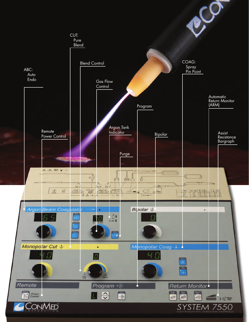